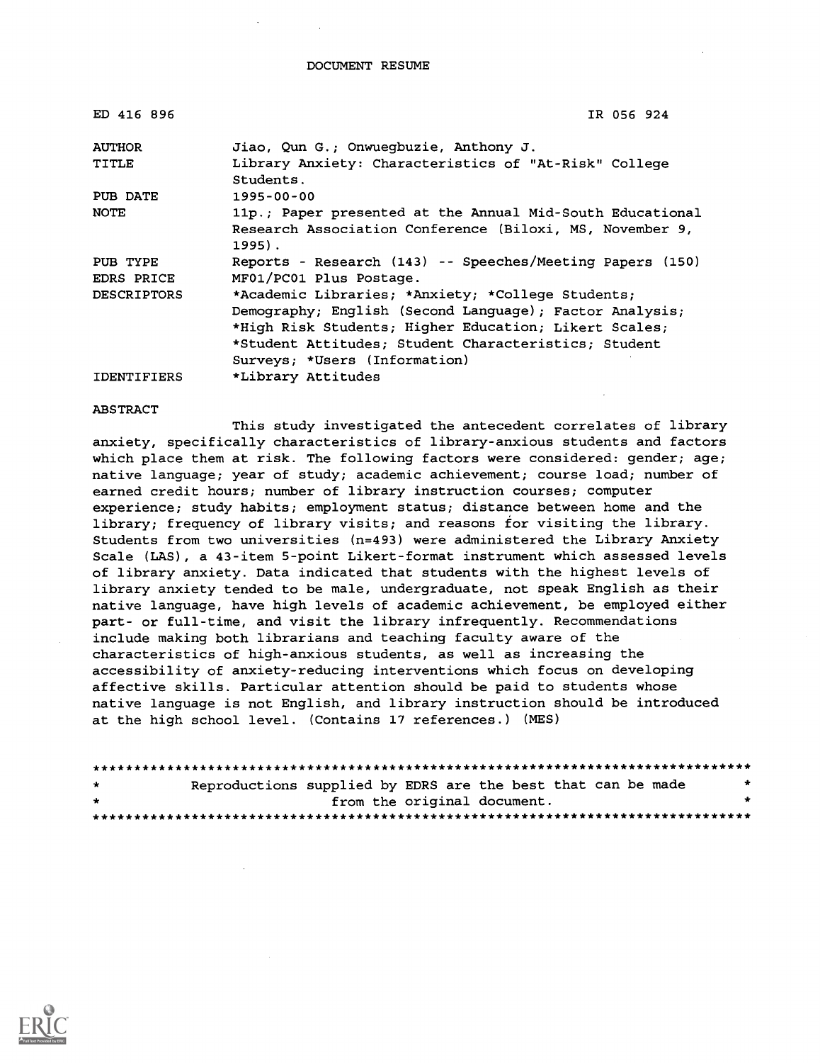DOCUMENT RESUME

| ED 416 896         | IR 056 924                                                         |  |  |  |
|--------------------|--------------------------------------------------------------------|--|--|--|
| <b>AUTHOR</b>      | Jiao, Qun G.; Onwuegbuzie, Anthony J.                              |  |  |  |
| TITLE              | Library Anxiety: Characteristics of "At-Risk" College<br>Students. |  |  |  |
| PUB DATE           | $1995 - 00 - 00$                                                   |  |  |  |
| NOTE               | 11p.; Paper presented at the Annual Mid-South Educational          |  |  |  |
|                    | Research Association Conference (Biloxi, MS, November 9,<br>1995). |  |  |  |
| PUB TYPE           | Reports - Research (143) -- Speeches/Meeting Papers (150)          |  |  |  |
| EDRS PRICE         | MF01/PC01 Plus Postage.                                            |  |  |  |
| <b>DESCRIPTORS</b> | *Academic Libraries; *Anxiety; *College Students;                  |  |  |  |
|                    | Demography; English (Second Language); Factor Analysis;            |  |  |  |
|                    | *High Risk Students; Higher Education; Likert Scales;              |  |  |  |
|                    | *Student Attitudes; Student Characteristics; Student               |  |  |  |
|                    | Surveys; *Users (Information)                                      |  |  |  |
| <b>IDENTIFIERS</b> | *Library Attitudes                                                 |  |  |  |

#### ABSTRACT

This study investigated the antecedent correlates of library anxiety, specifically characteristics of library-anxious students and factors which place them at risk. The following factors were considered: gender; age; native language; year of study; academic achievement; course load; number of earned credit hours; number of library instruction courses; computer experience; study habits; employment status; distance between home and the library; frequency of library visits; and reasons for visiting the library. Students from two universities (n=493) were administered the Library Anxiety Scale (LAS), a 43-item 5-point Likert-format instrument which assessed levels of library anxiety. Data indicated that students with the highest levels of library anxiety tended to be male, undergraduate, not speak English as their native language, have high levels of academic achievement, be employed either part- or full-time, and visit the library infrequently. Recommendations include making both librarians and teaching faculty aware of the characteristics of high-anxious students, as well as increasing the accessibility of anxiety-reducing interventions which focus on developing affective skills. Particular attention should be paid to students whose native language is not English, and library instruction should be introduced at the high school level. (Contains 17 references.) (MES)

| $\mathbf{r}$ | Reproductions supplied by EDRS are the best that can be made |  |                             |  |  |
|--------------|--------------------------------------------------------------|--|-----------------------------|--|--|
| $\mathbf{r}$ |                                                              |  | from the original document. |  |  |
|              |                                                              |  |                             |  |  |

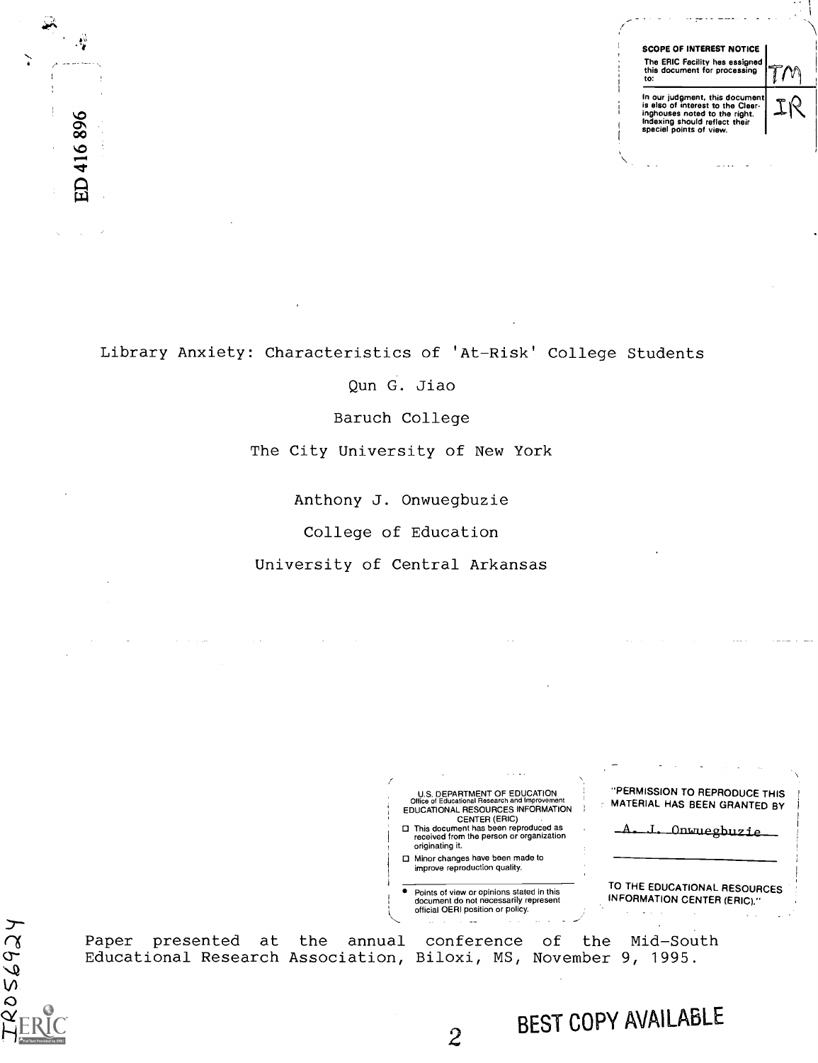

Library Anxiety: Characteristics of 'At-Risk' College Students

 $\frac{1}{2}$ 

ED 416896

Qun G. Jiao

Baruch College

The City University of New York

Anthony J. Onwuegbuzie

College of Education

University of Central Arkansas

"PERMISSION TO REPRODUCE THIS U.S. DEPARTMENT OF EDUCATION<br>Office of Educational Research and Improvement<br>EDUCATIONAL RESOURCES INFORMATION MATERIAL HAS BEEN GRANTED BY CENTER (ERIC) A. J. Onwuegbuzie This document has been reproduced as received from the person or organization originating it. □ Minor changes have been made to improve reproduction quality. TO THE EDUCATIONAL RESOURCES Points of view or opinions stated in this document do not necessarily represent INFORMATION CENTER (ERIC)." official OERI position or policy. Paper presented at the annual conference of the Mid-South Educational Research Association, Biloxi, MS, November 9, 1995.  $\sigma$  and  $\sigma$  $\sim$   $\sim$ BEST COPY AVAILABLEFull Text Provided by ERIC  $\tilde{z}$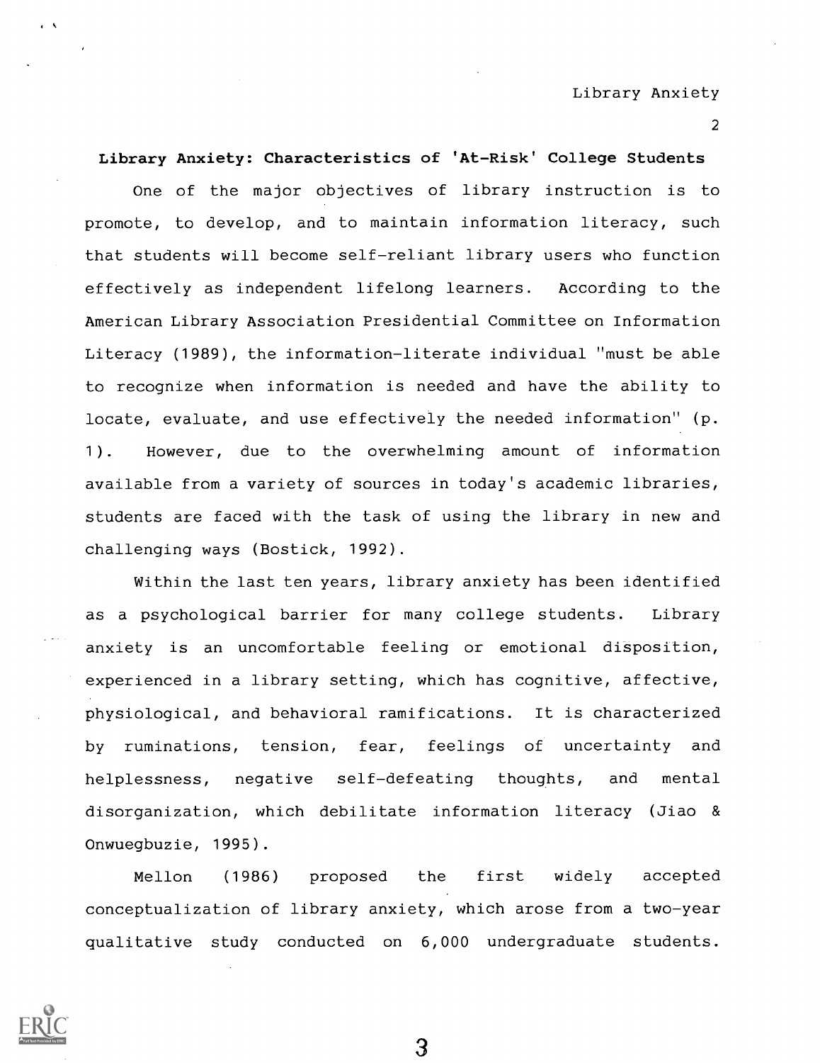Library Anxiety

2

Library Anxiety: Characteristics of 'At-Risk' College Students

One of the major objectives of library instruction is to promote, to develop, and to maintain information literacy, such that students will become self-reliant library users who function effectively as independent lifelong learners. According to the American Library Association Presidential Committee on Information Literacy (1989), the information-literate individual "must be able to recognize when information is needed and have the ability to locate, evaluate, and use effectively the needed information" (p. 1). However, due to the overwhelming amount of information available from a variety of sources in today's academic libraries, students are faced with the task of using the library in new and challenging ways (Bostick, 1992).

Within the last ten years, library anxiety has been identified as a psychological barrier for many college students. Library anxiety is an uncomfortable feeling or emotional disposition, experienced in a library setting, which has cognitive, affective, physiological, and behavioral ramifications. It is characterized by ruminations, tension, fear, feelings of uncertainty and helplessness, negative self-defeating thoughts, and mental disorganization, which debilitate information literacy (Jiao & Onwuegbuzie, 1995).

Mellon (1986) proposed the first widely accepted conceptualization of library anxiety, which arose from a two-year qualitative study conducted on 6,000 undergraduate students.

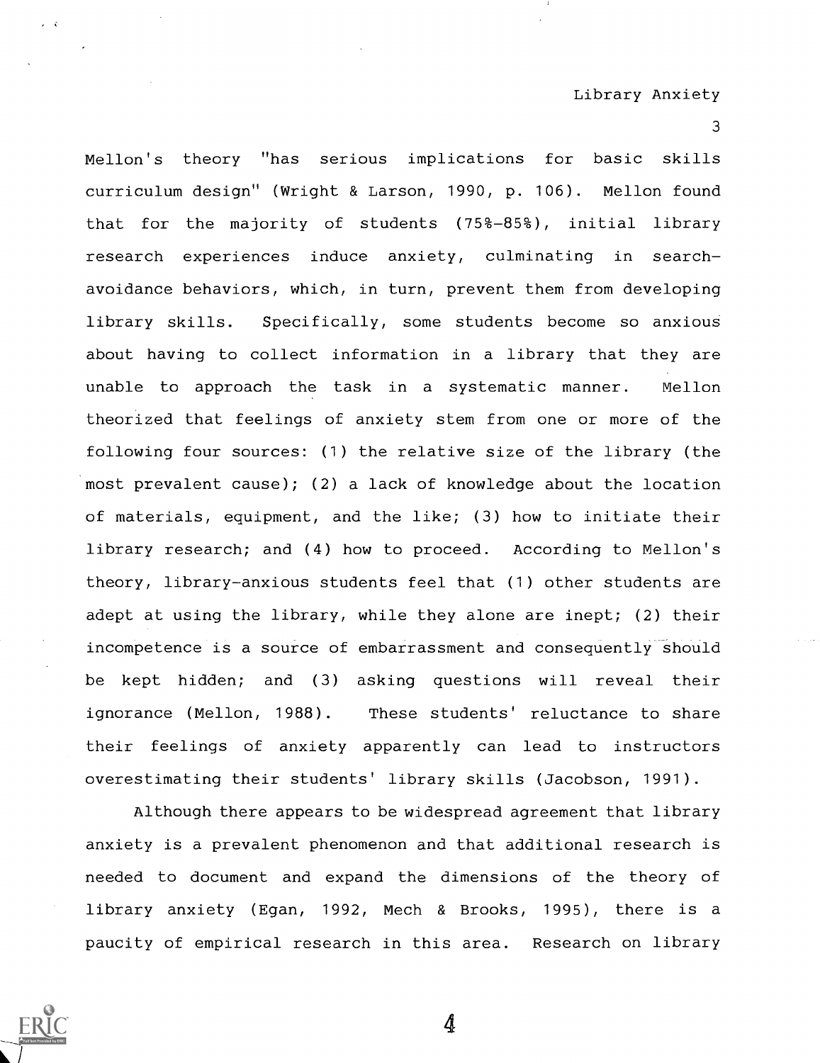Mellon's theory "has serious implications for basic skills curriculum design" (Wright & Larson, 1990, p. 106). Mellon found that for the majority of students (75%-85%), initial library research experiences induce anxiety, culminating in searchavoidance behaviors, which, in turn, prevent them from developing library skills. Specifically, some students become so anxious about having to collect information in a library that they are unable to approach the task in a systematic manner. Mellon theorized that feelings of anxiety stem from one or more of the following four sources: (1) the relative size of the library (the most prevalent cause); (2) a lack of knowledge about the location of materials, equipment, and the like; (3) how to initiate their library research; and (4) how to proceed. According to Mellon's theory, library-anxious students feel that (1) other students are adept at using the library, while they alone are inept; (2) their incompetence is a source of embarrassment and consequently should be kept hidden; and (3) asking questions will reveal their ignorance (Mellon, 1988). These students' reluctance to share their feelings of anxiety apparently can lead to instructors overestimating their students' library skills (Jacobson, 1991).

Although there appears to be widespread agreement that library anxiety is a prevalent phenomenon and that additional research is needed to document and expand the dimensions of the theory of library anxiety (Egan, 1992, Mech & Brooks, 1995), there is a paucity of empirical research in this area. Research on library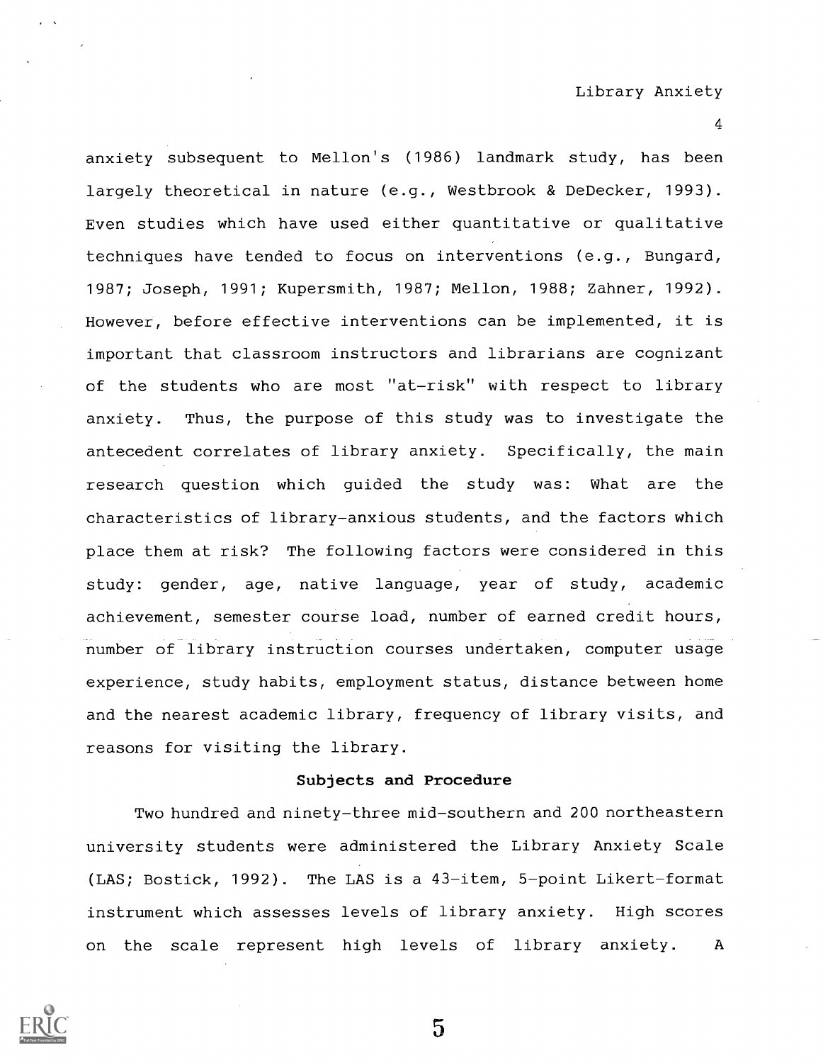anxiety subsequent to Mellon's (1986) landmark study, has been largely theoretical in nature (e.g., Westbrook & DeDecker, 1993). Even studies which have used either quantitative or qualitative techniques have tended to focus on interventions (e.g., Bungard, 1987; Joseph, 1991; Kupersmith, 1987; Mellon, 1988; Zahner, 1992). However, before effective interventions can be implemented, it is important that classroom instructors and librarians are cognizant of the students who are most "at-risk" with respect to library anxiety. Thus, the purpose of this study was to investigate the antecedent correlates of library anxiety. Specifically, the main research question which guided the study was: What are the characteristics of library-anxious students, and the factors which place them at risk? The following factors were considered in this study: gender, age, native language, year of study, academic achievement, semester course load, number of earned credit hours, number of library instruction courses undertaken, computer usage experience, study habits, employment status, distance between home and the nearest academic library, frequency of library visits, and reasons for visiting the library.

### Subjects and Procedure

Two hundred and ninety-three mid-southern and 200 northeastern university students were administered the Library Anxiety Scale (LAS; Bostick, 1992). The LAS is a 43-item, 5-point Likert-format instrument which assesses levels of library anxiety. High scores on the scale represent high levels of library anxiety. A

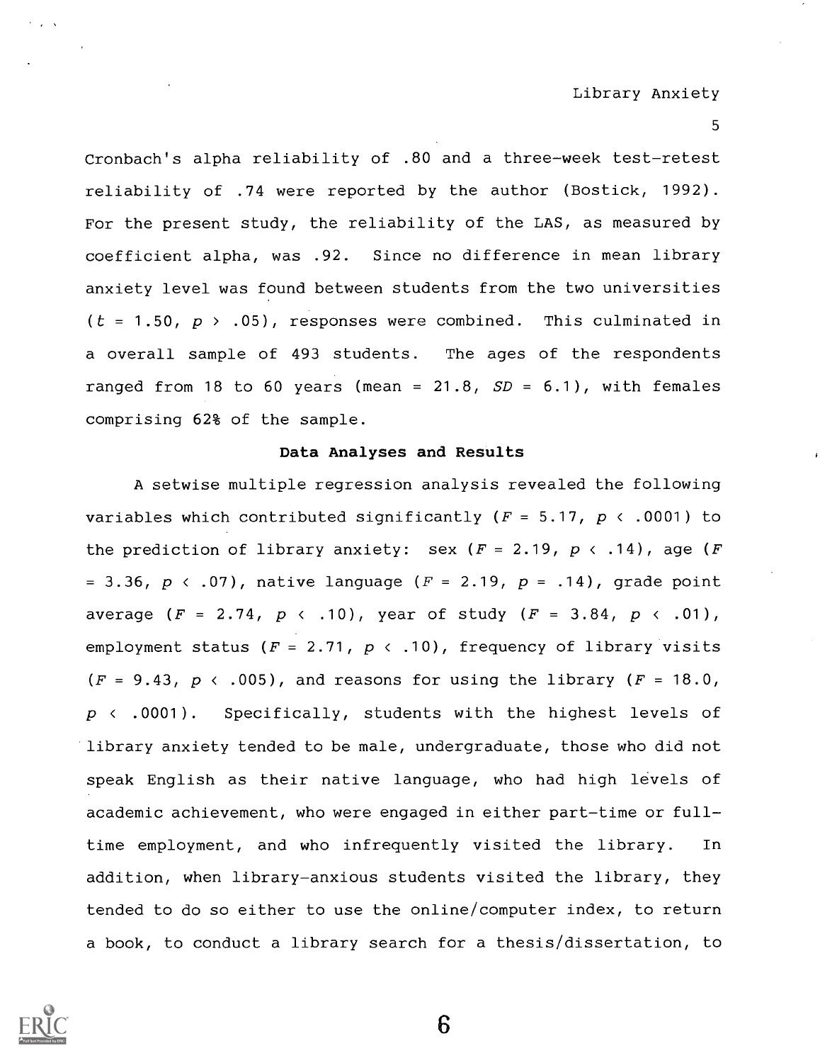Cronbach's alpha reliability of .80 and a three-week test-retest reliability of .74 were reported by the author (Bostick, 1992). For the present study, the reliability of the LAS, as measured by coefficient alpha, was .92. Since no difference in mean library anxiety level was found between students from the two universities ( $t = 1.50$ ,  $p > .05$ ), responses were combined. This culminated in a overall sample of 493 students. The ages of the respondents ranged from 18 to 60 years (mean =  $21.8$ ,  $SD = 6.1$ ), with females comprising 62% of the sample.

## Data Analyses and Results

A setwise multiple regression analysis revealed the following variables which contributed significantly ( $F = 5.17$ ,  $p \leftarrow .0001$ ) to the prediction of library anxiety: sex  $(F = 2.19, p \times .14)$ , age  $(F$ = 3.36,  $p \, \langle \, .07 \, \rangle$ , native language ( $F = 2.19$ ,  $p = .14$ ), grade point average  $(F = 2.74, p \times .10)$ , year of study  $(F = 3.84, p \times .01)$ , employment status ( $F = 2.71$ ,  $p \leftarrow .10$ ), frequency of library visits  $(F = 9.43, p \cdot .005)$ , and reasons for using the library  $(F = 18.0, p \cdot .005)$  $p \leftarrow .0001$ ). Specifically, students with the highest levels of library anxiety tended to be male, undergraduate, those who did not speak English as their native language, who had high levels of academic achievement, who were engaged in either part-time or fulltime employment, and who infrequently visited the library. In addition, when library-anxious students visited the library, they tended to do so either to use the online/computer index, to return a book, to conduct a library search for a thesis/dissertation, to

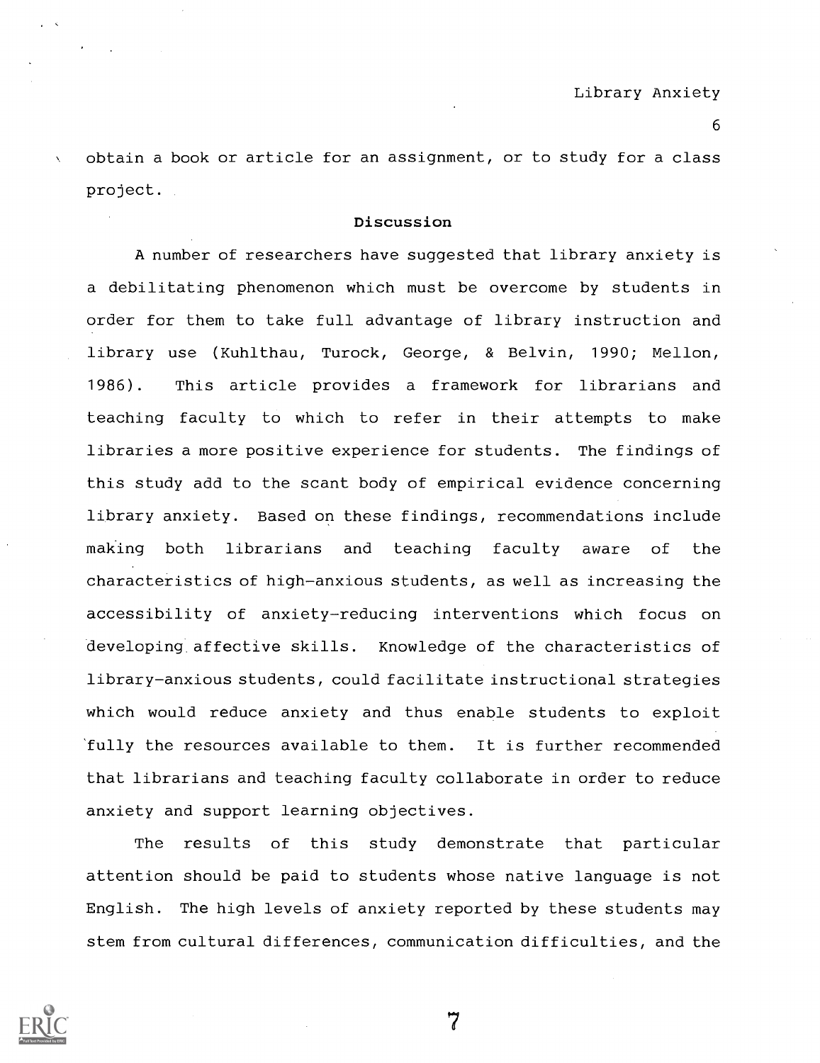obtain a book or article for an assignment, or to study for a class project.

### Discussion

A number of researchers have suggested that library anxiety is a debilitating phenomenon which must be overcome by students in order for them to take full advantage of library instruction and library use (Kuhlthau, Turock, George, & Belvin, 1990; Mellon, 1986). This article provides a framework for librarians and teaching faculty to which to refer in their attempts to make libraries a more positive experience for students. The findings of this study add to the scant body of empirical evidence concerning library anxiety. Based on these findings, recommendations include making both librarians and teaching faculty aware of the characteristics of high-anxious students, as well as increasing the accessibility of anxiety-reducing interventions which focus on developing affective skills. Knowledge of the characteristics of library-anxious students, could facilitate instructional strategies which would reduce anxiety and thus enable students to exploit 'fully the resources available to them. It is further recommended that librarians and teaching faculty collaborate in order to reduce anxiety and support learning objectives.

The results of this study demonstrate that particular attention should be paid to students whose native language is not English. The high levels of anxiety reported by these students may stem from cultural differences, communication difficulties, and the

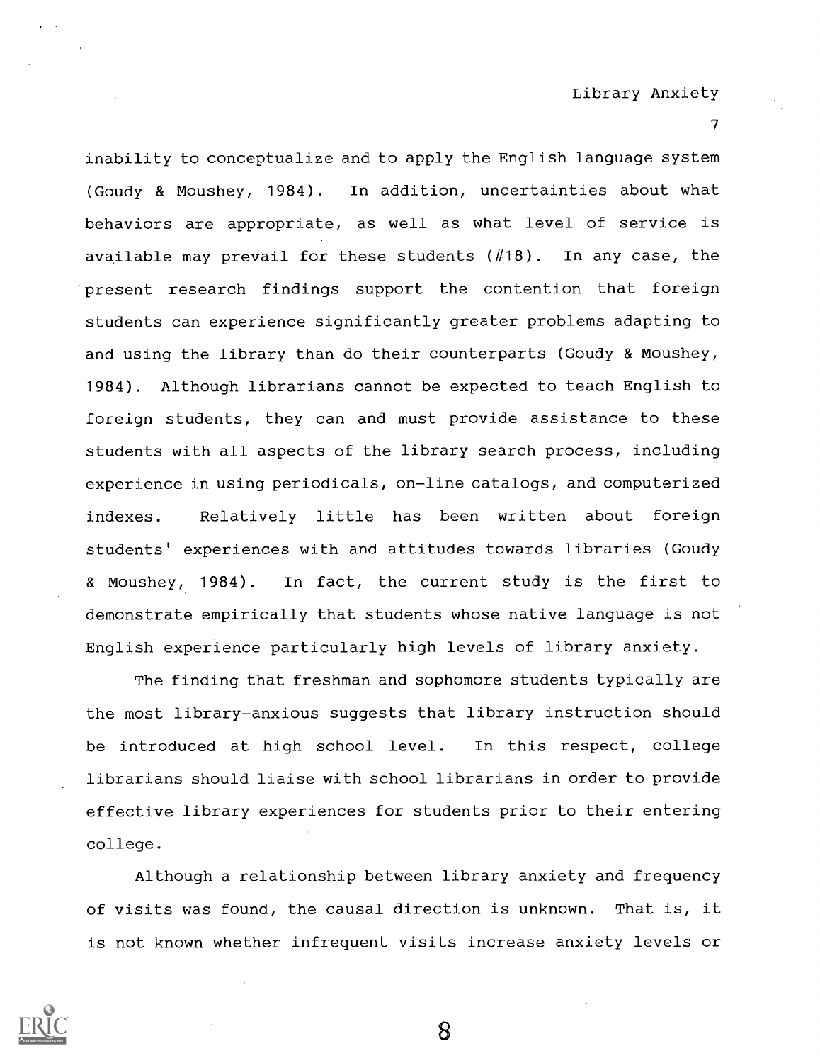inability to conceptualize and to apply the English language system (Goudy & Moushey, 1984). In addition, uncertainties about what behaviors are appropriate, as well as what level of service is available may prevail for these students (#18). In any case, the present research findings support the contention that foreign students can experience significantly greater problems adapting to and using the library than do their counterparts (Goudy & Moushey, 1984). Although librarians cannot be expected to teach English to foreign students, they can and must provide assistance to these students with all aspects of the library search process, including experience in using periodicals, on-line catalogs, and computerized indexes. Relatively little has been written about foreign students' experiences with and attitudes towards libraries (Goudy & Moushey, 1984). In fact, the current study is the first to demonstrate empirically that students whose native language is not English experience particularly high levels of library anxiety.

The finding that freshman and sophomore students typically are the most library-anxious suggests that library instruction should be introduced at high school level. In this respect, college librarians should liaise with school librarians in order to provide effective library experiences for students prior to their entering college.

Although a relationship between library anxiety and frequency of visits was found, the causal direction is unknown. That is, it is not known whether infrequent visits increase anxiety levels or

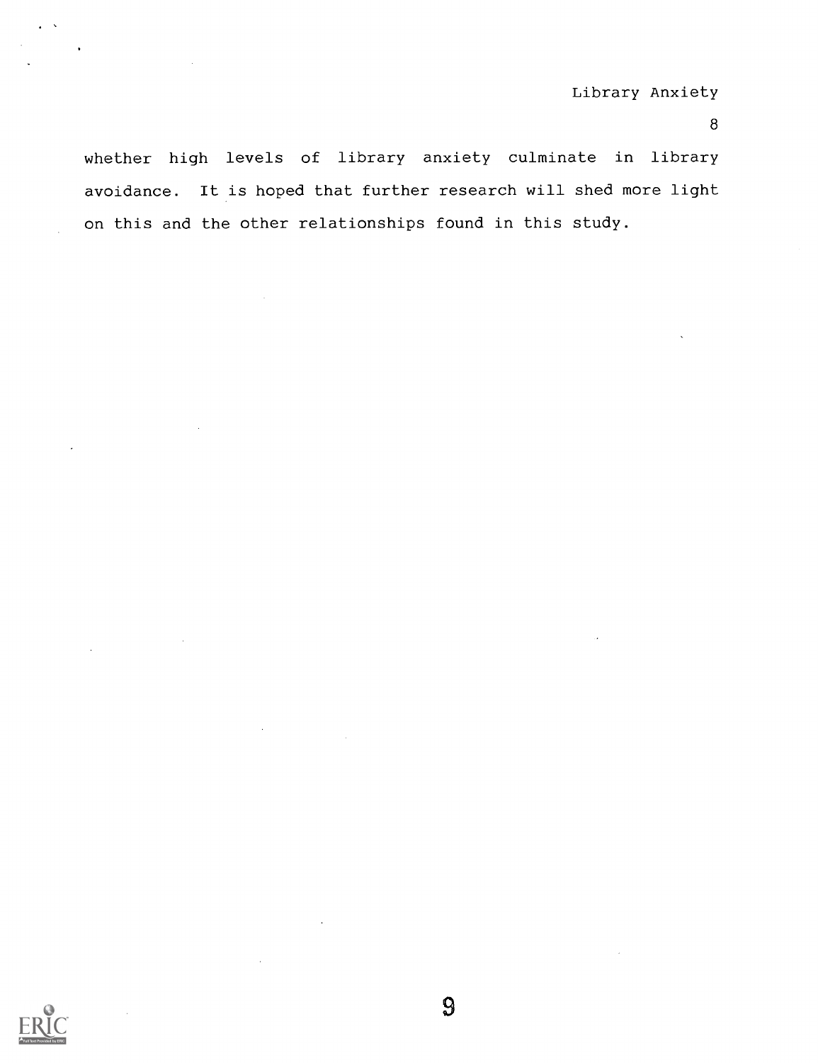whether high levels of library anxiety culminate in library avoidance. It is hoped that further research will shed more light on this and the other relationships found in this study.

 $\overline{9}$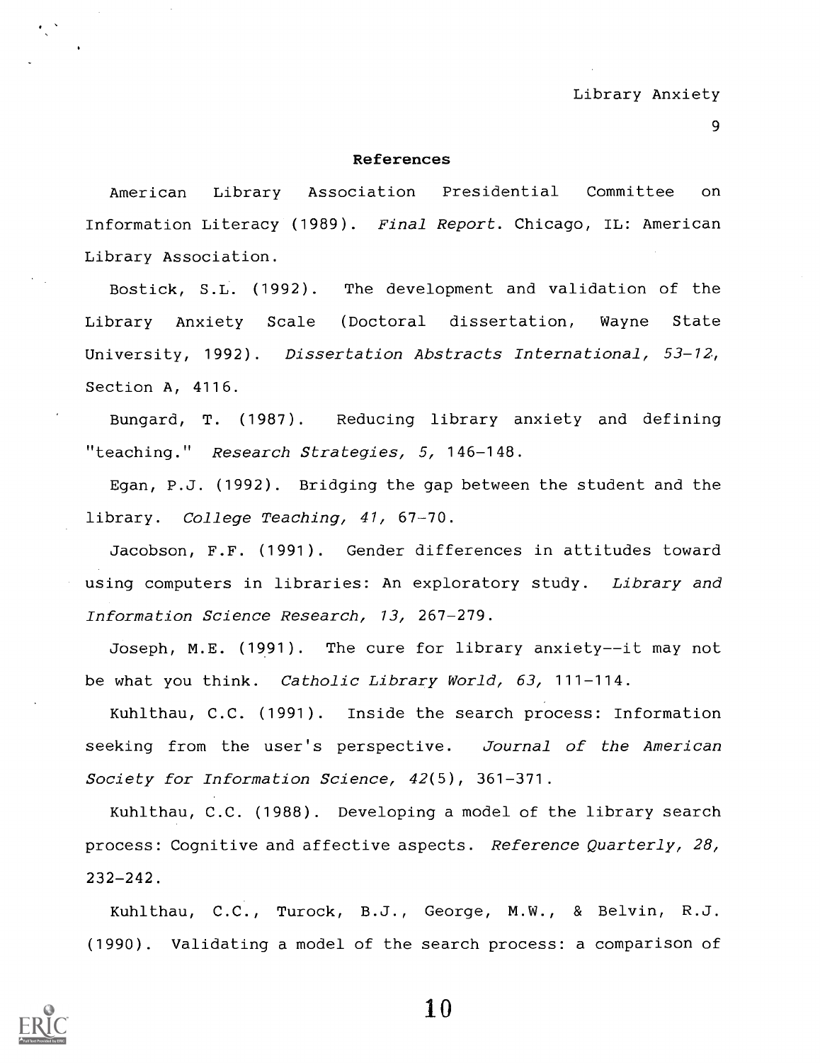#### References

American Library Association Presidential Committee on Information Literacy (1989). Final Report. Chicago, IL: American Library Association.

Bostick, S.L. (1992). The development and validation of the Library Anxiety Scale (Doctoral dissertation, Wayne State University, 1992). Dissertation Abstracts International, 53-12, Section A, 4116.

Bungard, T. (1987). Reducing library anxiety and defining "teaching." Research Strategies, 5, 146-148.

Egan, P.J. (1992). Bridging the gap between the student and the library. College Teaching, 41, 67-70.

Jacobson, F.F. (1991). Gender differences in attitudes toward using computers in libraries: An exploratory study. Library and Information Science Research, 13, 267-279.

Joseph, M.E. (1991). The cure for library anxiety--it may not be what you think. Catholic Library World, 63, 111-114.

Kuhlthau, C.C. (1991). Inside the search process: Information seeking from the user's perspective. Journal of the American Society for Information Science, 42(5), 361-371.

Kuhlthau, C.C. (1988). Developing a model of the library search process: Cognitive and affective aspects. Reference Quarterly, 28, 232-242.

Kuhlthau, C.C., Turock, B.J., George, M.W., & Belvin, R.J. (1990). Validating a model of the search process: a comparison of

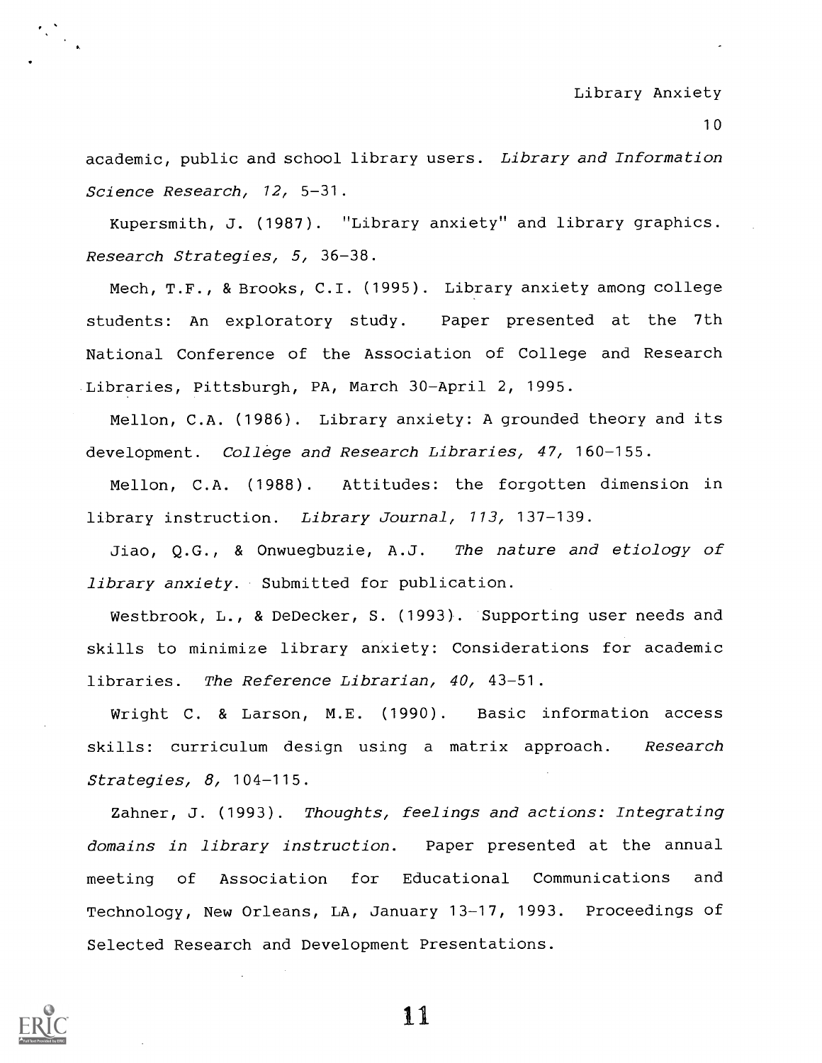#### Library Anxiety

10

academic, public and school library users. Library and Information Science Research, 12, 5-31.

Kupersmith, J. (1987). "Library anxiety" and library graphics. Research Strategies, 5, 36-38.

Mech, T.F., & Brooks, C.I. (1995). Library anxiety among college students: An exploratory study. Paper presented at the 7th National Conference of the Association of College and Research Libraries, Pittsburgh, PA, March 30-April 2, 1995.

Mellon, C.A. (1986). Library anxiety: A grounded theory and its development. College and Research Libraries, 47, 160-155.

Mellon, C.A. (1988). Attitudes: the forgotten dimension in library instruction. Library Journal, 113, 137-139.

Jiao, Q.G., & Onwuegbuzie, A.J. The nature and etiology of library anxiety. Submitted for publication.

Westbrook, L., & DeDecker, S. (1993). Supporting user needs and skills to minimize library anxiety: Considerations for academic libraries. The Reference Librarian, 40, 43-51.

Wright C. & Larson, M.E. (1990). Basic information access skills: curriculum design using a matrix approach. Research Strategies, 8, 104-115.

Zahner, J. (1993). Thoughts, feelings and actions: Integrating domains in library instruction. Paper presented at the annual meeting of Association for Educational Communications and Technology, New Orleans, LA, January 13-17, 1993. Proceedings of Selected Research and Development Presentations.